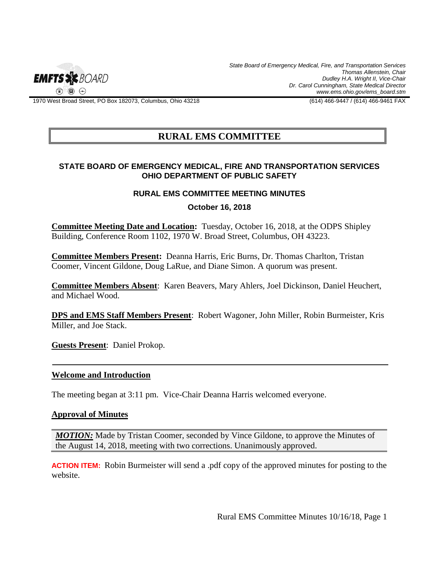

*State Board of Emergency Medical, Fire, and Transportation Services Thomas Allenstein, Chair Dudley H.A. Wright II, Vice-Chair Dr. Carol Cunningham, State Medical Director www.ems.ohio.gov/ems\_board.stm*

1970 West Broad Street, PO Box 182073, Columbus, Ohio 43218 (614) 466-9447 / (614) 466-9461 FAX

# **RURAL EMS COMMITTEE**

### **STATE BOARD OF EMERGENCY MEDICAL, FIRE AND TRANSPORTATION SERVICES OHIO DEPARTMENT OF PUBLIC SAFETY**

## **RURAL EMS COMMITTEE MEETING MINUTES**

**October 16, 2018**

**Committee Meeting Date and Location:** Tuesday, October 16, 2018, at the ODPS Shipley Building, Conference Room 1102, 1970 W. Broad Street, Columbus, OH 43223.

**Committee Members Present:** Deanna Harris, Eric Burns, Dr. Thomas Charlton, Tristan Coomer, Vincent Gildone, Doug LaRue, and Diane Simon. A quorum was present.

**Committee Members Absent**: Karen Beavers, Mary Ahlers, Joel Dickinson, Daniel Heuchert, and Michael Wood.

**DPS and EMS Staff Members Present**: Robert Wagoner, John Miller, Robin Burmeister, Kris Miller, and Joe Stack.

**Guests Present**: Daniel Prokop.

#### **Welcome and Introduction**

The meeting began at 3:11 pm. Vice-Chair Deanna Harris welcomed everyone.

#### **Approval of Minutes**

*MOTION:* Made by Tristan Coomer, seconded by Vince Gildone, to approve the Minutes of the August 14, 2018, meeting with two corrections. Unanimously approved.

**ACTION ITEM:**Robin Burmeister will send a .pdf copy of the approved minutes for posting to the website.

Rural EMS Committee Minutes 10/16/18, Page 1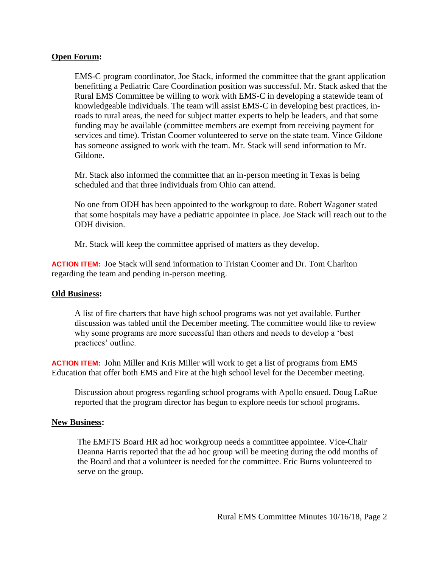## **Open Forum:**

EMS-C program coordinator, Joe Stack, informed the committee that the grant application benefitting a Pediatric Care Coordination position was successful. Mr. Stack asked that the Rural EMS Committee be willing to work with EMS-C in developing a statewide team of knowledgeable individuals. The team will assist EMS-C in developing best practices, inroads to rural areas, the need for subject matter experts to help be leaders, and that some funding may be available (committee members are exempt from receiving payment for services and time). Tristan Coomer volunteered to serve on the state team. Vince Gildone has someone assigned to work with the team. Mr. Stack will send information to Mr. Gildone.

Mr. Stack also informed the committee that an in-person meeting in Texas is being scheduled and that three individuals from Ohio can attend.

No one from ODH has been appointed to the workgroup to date. Robert Wagoner stated that some hospitals may have a pediatric appointee in place. Joe Stack will reach out to the ODH division.

Mr. Stack will keep the committee apprised of matters as they develop.

**ACTION ITEM:**Joe Stack will send information to Tristan Coomer and Dr. Tom Charlton regarding the team and pending in-person meeting.

## **Old Business:**

A list of fire charters that have high school programs was not yet available. Further discussion was tabled until the December meeting. The committee would like to review why some programs are more successful than others and needs to develop a 'best practices' outline.

**ACTION ITEM:**John Miller and Kris Miller will work to get a list of programs from EMS Education that offer both EMS and Fire at the high school level for the December meeting.

Discussion about progress regarding school programs with Apollo ensued. Doug LaRue reported that the program director has begun to explore needs for school programs.

## **New Business:**

The EMFTS Board HR ad hoc workgroup needs a committee appointee. Vice-Chair Deanna Harris reported that the ad hoc group will be meeting during the odd months of the Board and that a volunteer is needed for the committee. Eric Burns volunteered to serve on the group.